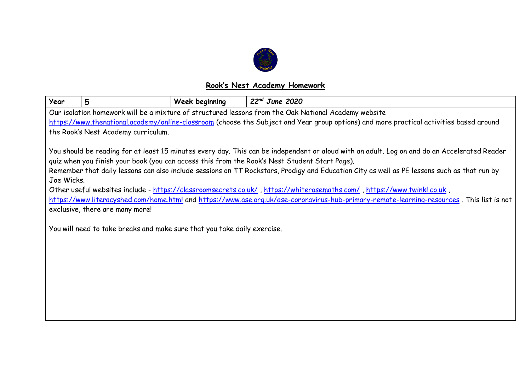

## **Rook's Nest Academy Homework**

| Year                                                                                                                                                                                                                                                                                                                                                                                                                                                                                                                                                                                                                                                                                                                                                                                              | 5                                                                                                    | <b>Week beginning</b> | $22nd$ June 2020 |  |  |  |  |  |
|---------------------------------------------------------------------------------------------------------------------------------------------------------------------------------------------------------------------------------------------------------------------------------------------------------------------------------------------------------------------------------------------------------------------------------------------------------------------------------------------------------------------------------------------------------------------------------------------------------------------------------------------------------------------------------------------------------------------------------------------------------------------------------------------------|------------------------------------------------------------------------------------------------------|-----------------------|------------------|--|--|--|--|--|
|                                                                                                                                                                                                                                                                                                                                                                                                                                                                                                                                                                                                                                                                                                                                                                                                   | Our isolation homework will be a mixture of structured lessons from the Oak National Academy website |                       |                  |  |  |  |  |  |
| https://www.thenational.academy/online-classroom (choose the Subject and Year group options) and more practical activities based around                                                                                                                                                                                                                                                                                                                                                                                                                                                                                                                                                                                                                                                           |                                                                                                      |                       |                  |  |  |  |  |  |
| the Rook's Nest Academy curriculum.                                                                                                                                                                                                                                                                                                                                                                                                                                                                                                                                                                                                                                                                                                                                                               |                                                                                                      |                       |                  |  |  |  |  |  |
| You should be reading for at least 15 minutes every day. This can be independent or aloud with an adult. Log on and do an Accelerated Reader<br>quiz when you finish your book (you can access this from the Rook's Nest Student Start Page).<br>Remember that daily lessons can also include sessions on TT Rockstars, Prodigy and Education City as well as PE lessons such as that run by<br>Joe Wicks.<br>Other useful websites include - https://classroomsecrets.co.uk/, https://whiterosemaths.com/, https://www.twinkl.co.uk,<br>https://www.literacyshed.com/home.html and https://www.ase.org.uk/ase-coronavirus-hub-primary-remote-learning-resources. This list is not<br>exclusive, there are many more!<br>You will need to take breaks and make sure that you take daily exercise. |                                                                                                      |                       |                  |  |  |  |  |  |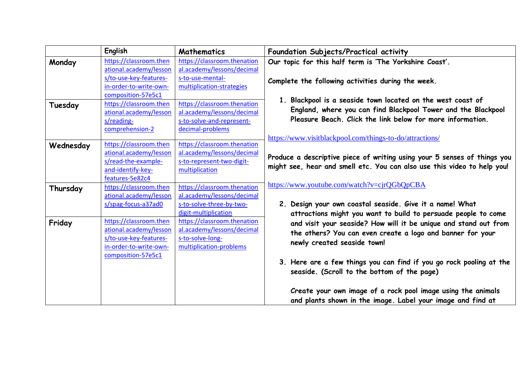|           | <b>English</b>         | <b>Mathematics</b>          | Foundation Subjects/Practical activity                                                                                                                                                     |
|-----------|------------------------|-----------------------------|--------------------------------------------------------------------------------------------------------------------------------------------------------------------------------------------|
| Monday    | https://classroom.then | https://classroom.thenation | Our topic for this half term is 'The Yorkshire Coast'.<br>Complete the following activities during the week.                                                                               |
|           | ational.academy/lesson | al.academy/lessons/decimal  |                                                                                                                                                                                            |
|           | s/to-use-key-features- | s-to-use-mental-            |                                                                                                                                                                                            |
|           | in-order-to-write-own- | multiplication-strategies   |                                                                                                                                                                                            |
|           | composition-57e5c1     |                             |                                                                                                                                                                                            |
| Tuesday   | https://classroom.then | https://classroom.thenation | 1. Blackpool is a seaside town located on the west coast of<br>England, where you can find Blackpool Tower and the Blackpool<br>Pleasure Beach. Click the link below for more information. |
|           | ational.academy/lesson | al.academy/lessons/decimal  |                                                                                                                                                                                            |
|           | s/reading-             | s-to-solve-and-represent-   |                                                                                                                                                                                            |
|           | comprehension-2        | decimal-problems            |                                                                                                                                                                                            |
|           |                        |                             | https://www.visitblackpool.com/things-to-do/attractions/                                                                                                                                   |
| Wednesday | https://classroom.then | https://classroom.thenation | Produce a descriptive piece of writing using your 5 senses of things you                                                                                                                   |
|           | ational.academy/lesson | al.academy/lessons/decimal  |                                                                                                                                                                                            |
|           | s/read-the-example-    | s-to-represent-two-digit-   |                                                                                                                                                                                            |
|           | and-identify-key-      | multiplication              | might see, hear and smell etc. You can also use this video to help you!                                                                                                                    |
|           | features-5e82c4        |                             |                                                                                                                                                                                            |
| Thursday  | https://classroom.then | https://classroom.thenation | https://www.youtube.com/watch?v=cjrQGbQpCBA                                                                                                                                                |
|           | ational.academy/lesson | al.academy/lessons/decimal  |                                                                                                                                                                                            |
|           | s/spag-focus-a37ad0    | s-to-solve-three-by-two-    | 2. Design your own coastal seaside. Give it a name! What                                                                                                                                   |
|           |                        | digit-multiplication        | attractions might you want to build to persuade people to come                                                                                                                             |
| Friday    | https://classroom.then | https://classroom.thenation | and visit your seaside? How will it be unique and stand out from<br>the others? You can even create a logo and banner for your<br>newly created seaside town!                              |
|           | ational.academy/lesson | al.academy/lessons/decimal  |                                                                                                                                                                                            |
|           | s/to-use-key-features- | s-to-solve-long-            |                                                                                                                                                                                            |
|           | in-order-to-write-own- | multiplication-problems     |                                                                                                                                                                                            |
|           | composition-57e5c1     |                             |                                                                                                                                                                                            |
|           |                        |                             | 3. Here are a few things you can find if you go rock pooling at the<br>seaside. (Scroll to the bottom of the page)                                                                         |
|           |                        |                             | Create your own image of a rock pool image using the animals<br>and plants shown in the image. Label your image and find at                                                                |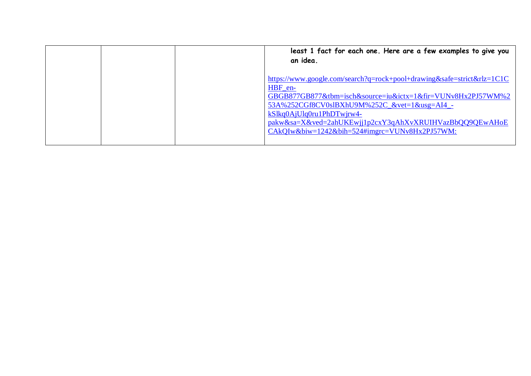| an idea. | least 1 fact for each one. Here are a few examples to give you                                                                                                                                                                                                                                                                                 |
|----------|------------------------------------------------------------------------------------------------------------------------------------------------------------------------------------------------------------------------------------------------------------------------------------------------------------------------------------------------|
| HBF en-  | https://www.google.com/search?q=rock+pool+drawing&safe=strict&rlz=1C1C<br>GBGB877GB877&tbm=isch&source=iu&ictx=1&fir=VUNv8Hx2PJ57WM%2<br>53A%252CGf8CV0slBXhU9M%252C_&vet=1&usg=AI4_-<br>$kS$ <sub>k</sub> $Q$ AjUlq0ru1PhDTwjrw4-<br>pakw&sa=X&ved=2ahUKEwjj1p2cxY3qAhXvXRUIHVazBbQQ9QEwAHoE<br>CAkQIw&biw=1242&bih=524#imgrc=VUNv8Hx2PJ57WM: |